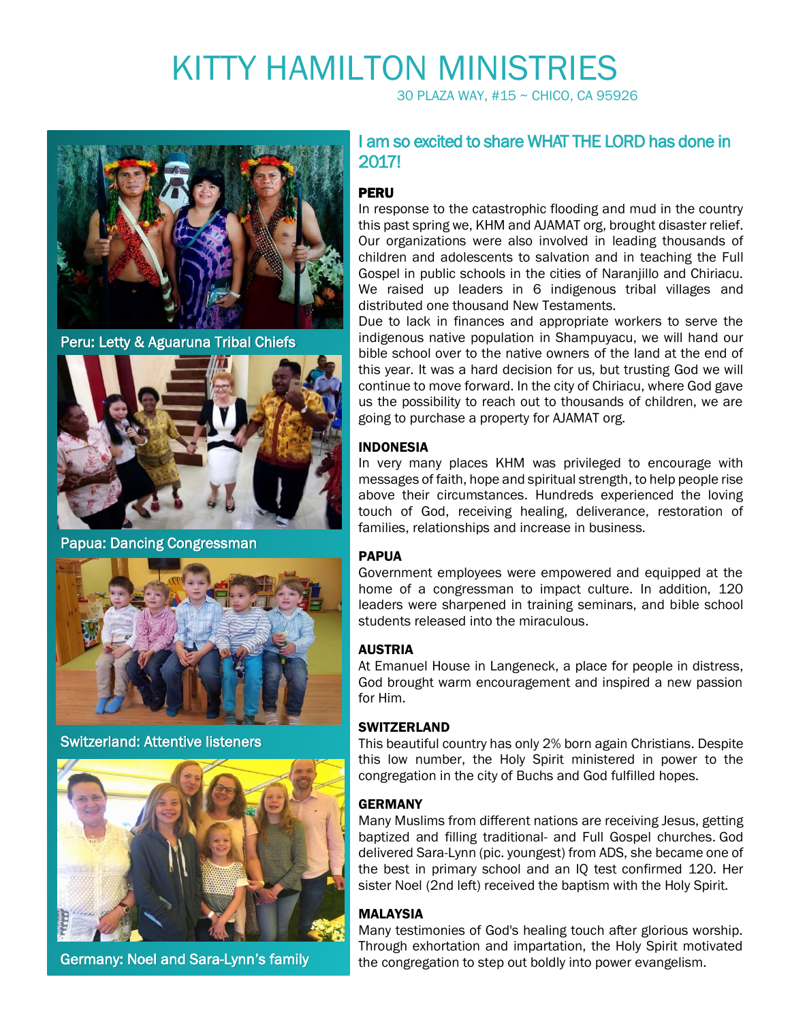# KITTY HAMILTON MINISTRIES

30 PLAZA WAY, #15 ~ CHICO, CA 95926



Peru: Letty & Aguaruna Tribal Chiefs



Papua: Dancing Congressman



Switzerland: Attentive listeners



Germany: Noel and Sara-Lynn's family

# I am so excited to share WHAT THE LORD has done in 2017!

#### **PERU**

In response to the catastrophic flooding and mud in the country this past spring we, KHM and AJAMAT org, brought disaster relief. Our organizations were also involved in leading thousands of children and adolescents to salvation and in teaching the Full Gospel in public schools in the cities of Naranjillo and Chiriacu. We raised up leaders in 6 indigenous tribal villages and distributed one thousand New Testaments.

Due to lack in finances and appropriate workers to serve the indigenous native population in Shampuyacu, we will hand our bible school over to the native owners of the land at the end of this year. It was a hard decision for us, but trusting God we will continue to move forward. In the city of Chiriacu, where God gave us the possibility to reach out to thousands of children, we are going to purchase a property for AJAMAT org.

### INDONESIA

In very many places KHM was privileged to encourage with messages of faith, hope and spiritual strength, to help people rise above their circumstances. Hundreds experienced the loving touch of God, receiving healing, deliverance, restoration of families, relationships and increase in business.

#### PAPUA

Government employees were empowered and equipped at the home of a congressman to impact culture. In addition, 120 leaders were sharpened in training seminars, and bible school students released into the miraculous.

#### AUSTRIA

At Emanuel House in Langeneck, a place for people in distress, God brought warm encouragement and inspired a new passion for Him.

#### **SWITZERLAND**

This beautiful country has only 2% born again Christians. Despite this low number, the Holy Spirit ministered in power to the congregation in the city of Buchs and God fulfilled hopes.

#### GERMANY

Many Muslims from different nations are receiving Jesus, getting baptized and filling traditional- and Full Gospel churches. God delivered Sara-Lynn (pic. youngest) from ADS, she became one of the best in primary school and an IQ test confirmed 120. Her sister Noel (2nd left) received the baptism with the Holy Spirit.

#### MALAYSIA

Many testimonies of God's healing touch after glorious worship. Through exhortation and impartation, the Holy Spirit motivated the congregation to step out boldly into power evangelism.